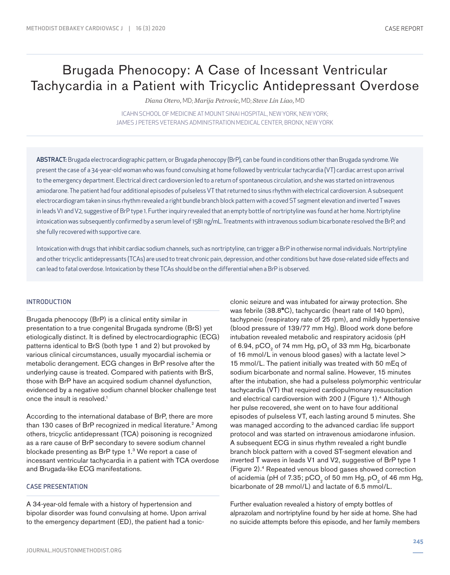# Brugada Phenocopy: A Case of Incessant Ventricular Tachycardia in a Patient with Tricyclic Antidepressant Overdose

*Diana Otero,* MD; *Marija Petrovic,* MD; *Steve Lin Liao,* MD

ICAHN SCHOOL OF MEDICINE AT MOUNT SINAI HOSPITAL, NEW YORK, NEW YORK; JAMES J PETERS VETERANS ADMINISTRATION MEDICAL CENTER, BRONX, NEW YORK

ABSTRACT: Brugada electrocardiographic pattern, or Brugada phenocopy (BrP), can be found in conditions other than Brugada syndrome. We present the case of a 34-year-old woman who was found convulsing at home followed by ventricular tachycardia (VT) cardiac arrest upon arrival to the emergency department. Electrical direct cardioversion led to a return of spontaneous circulation, and she was started on intravenous amiodarone. The patient had four additional episodes of pulseless VT that returned to sinus rhythm with electrical cardioversion. A subsequent electrocardiogram taken in sinus rhythm revealed a right bundle branch block pattern with a coved ST segment elevation and inverted T waves in leads V1 and V2, suggestive of BrP type 1. Further inquiry revealed that an empty bottle of nortriptyline was found at her home. Nortriptyline intoxication was subsequently confirmed by a serum level of 1581 ng/mL. Treatments with intravenous sodium bicarbonate resolved the BrP, and she fully recovered with supportive care.

Intoxication with drugs that inhibit cardiac sodium channels, such as nortriptyline, can trigger a BrP in otherwise normal individuals. Nortriptyline and other tricyclic antidepressants (TCAs) are used to treat chronic pain, depression, and other conditions but have dose-related side effects and can lead to fatal overdose. Intoxication by these TCAs should be on the differential when a BrP is observed.

## INTRODUCTION

Brugada phenocopy (BrP) is a clinical entity similar in presentation to a true congenital Brugada syndrome (BrS) yet etiologically distinct. It is defined by electrocardiographic (ECG) patterns identical to BrS (both type 1 and 2) but provoked by various clinical circumstances, usually myocardial ischemia or metabolic derangement. ECG changes in BrP resolve after the underlying cause is treated. Compared with patients with BrS, those with BrP have an acquired sodium channel dysfunction, evidenced by a negative sodium channel blocker challenge test once the insult is resolved.1

According to the international database of BrP, there are more than 130 cases of BrP recognized in medical literature.<sup>2</sup> Among others, tricyclic antidepressant (TCA) poisoning is recognized as a rare cause of BrP secondary to severe sodium channel blockade presenting as BrP type 1.3 We report a case of incessant ventricular tachycardia in a patient with TCA overdose and Brugada-like ECG manifestations.

## CASE PRESENTATION

A 34-year-old female with a history of hypertension and bipolar disorder was found convulsing at home. Upon arrival to the emergency department (ED), the patient had a tonicclonic seizure and was intubated for airway protection. She was febrile (38.8**°**C), tachycardic (heart rate of 140 bpm), tachypneic (respiratory rate of 25 rpm), and mildly hypertensive (blood pressure of 139/77 mm Hg). Blood work done before intubation revealed metabolic and respiratory acidosis (pH of 6.94, pCO<sub>2</sub> of 74 mm Hg, pO<sub>2</sub> of 33 mm Hg, bicarbonate of 16 mmol/L in venous blood gases) with a lactate level > 15 mmol/L. The patient initially was treated with 50 mEq of sodium bicarbonate and normal saline. However, 15 minutes after the intubation, she had a pulseless polymorphic ventricular tachycardia (VT) that required cardiopulmonary resuscitation and electrical cardioversion with 200 J (Figure 1).4 Although her pulse recovered, she went on to have four additional episodes of pulseless VT, each lasting around 5 minutes. She was managed according to the advanced cardiac life support protocol and was started on intravenous amiodarone infusion. A subsequent ECG in sinus rhythm revealed a right bundle branch block pattern with a coved ST-segment elevation and inverted T waves in leads V1 and V2, suggestive of BrP type 1 (Figure 2).4 Repeated venous blood gases showed correction of acidemia (pH of 7.35; pCO<sub>2</sub> of 50 mm Hg, pO<sub>2</sub> of 46 mm Hg, bicarbonate of 28 mmol/L) and lactate of 6.5 mmol/L.

Further evaluation revealed a history of empty bottles of alprazolam and nortriptyline found by her side at home. She had no suicide attempts before this episode, and her family members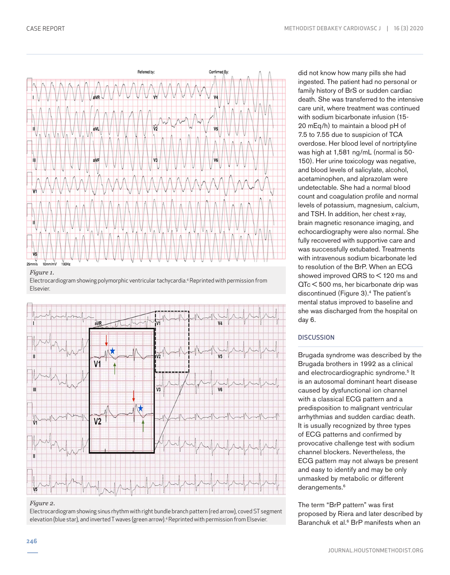

## *Figure 1.*

Electrocardiogram showing polymorphic ventricular tachycardia.4 Reprinted with permission from Elsevier.



## *Figure 2.*

Electrocardiogram showing sinus rhythm with right bundle branch pattern (red arrow), coved ST segment elevation (blue star), and inverted T waves (green arrow).4 Reprinted with permission from Elsevier.

did not know how many pills she had ingested. The patient had no personal or family history of BrS or sudden cardiac death. She was transferred to the intensive care unit, where treatment was continued with sodium bicarbonate infusion (15- 20 mEq/h) to maintain a blood pH of 7.5 to 7.55 due to suspicion of TCA overdose. Her blood level of nortriptyline was high at 1,581 ng/mL (normal is 50- 150). Her urine toxicology was negative, and blood levels of salicylate, alcohol, acetaminophen, and alprazolam were undetectable. She had a normal blood count and coagulation profile and normal levels of potassium, magnesium, calcium, and TSH. In addition, her chest x-ray, brain magnetic resonance imaging, and echocardiography were also normal. She fully recovered with supportive care and was successfully extubated. Treatments with intravenous sodium bicarbonate led to resolution of the BrP. When an ECG showed improved QRS to < 120 ms and QTc < 500 ms, her bicarbonate drip was discontinued (Figure 3).4 The patient's mental status improved to baseline and she was discharged from the hospital on day 6.

# **DISCUSSION**

Brugada syndrome was described by the Brugada brothers in 1992 as a clinical and electrocardiographic syndrome.<sup>5</sup> It is an autosomal dominant heart disease caused by dysfunctional ion channel with a classical ECG pattern and a predisposition to malignant ventricular arrhythmias and sudden cardiac death. It is usually recognized by three types of ECG patterns and confirmed by provocative challenge test with sodium channel blockers. Nevertheless, the ECG pattern may not always be present and easy to identify and may be only unmasked by metabolic or different derangements.<sup>6</sup>

The term "BrP pattern" was first proposed by Riera and later described by Baranchuk et al.<sup>6</sup> BrP manifests when an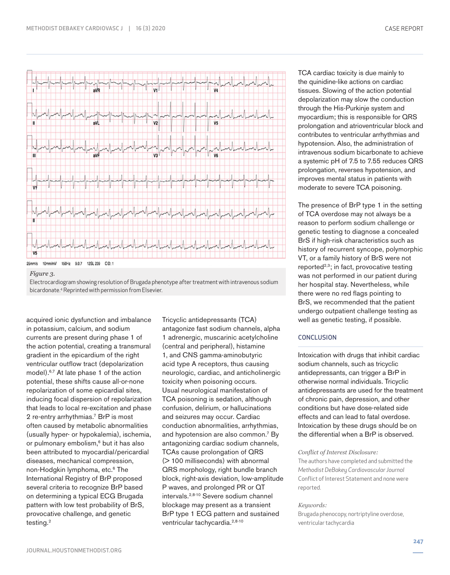



*Figure 3.*

Electrocardiogram showing resolution of Brugada phenotype after treatment with intravenous sodium bicardonate.4 Reprinted with permission from Elsevier.

acquired ionic dysfunction and imbalance in potassium, calcium, and sodium currents are present during phase 1 of the action potential, creating a transmural gradient in the epicardium of the right ventricular outflow tract (depolarization model).6,7 At late phase 1 of the action potential, these shifts cause all-or-none repolarization of some epicardial sites, inducing focal dispersion of repolarization that leads to local re-excitation and phase 2 re-entry arrhythmias.<sup>7</sup> BrP is most often caused by metabolic abnormalities (usually hyper- or hypokalemia), ischemia, or pulmonary embolism,<sup>6</sup> but it has also been attributed to myocardial/pericardial diseases, mechanical compression, non-Hodgkin lymphoma, etc.<sup>6</sup> The International Registry of BrP proposed several criteria to recognize BrP based on determining a typical ECG Brugada pattern with low test probability of BrS, provocative challenge, and genetic testing.<sup>2</sup>

Tricyclic antidepressants (TCA) antagonize fast sodium channels, alpha 1 adrenergic, muscarinic acetylcholine (central and peripheral), histamine 1, and CNS gamma-aminobutyric acid type A receptors, thus causing neurologic, cardiac, and anticholinergic toxicity when poisoning occurs. Usual neurological manifestation of TCA poisoning is sedation, although confusion, delirium, or hallucinations and seizures may occur. Cardiac conduction abnormalities, arrhythmias, and hypotension are also common.<sup>7</sup> By antagonizing cardiac sodium channels, TCAs cause prolongation of QRS (> 100 milliseconds) with abnormal QRS morphology, right bundle branch block, right-axis deviation, low-amplitude P waves, and prolonged PR or QT intervals.2,8-10 Severe sodium channel blockage may present as a transient BrP type 1 ECG pattern and sustained ventricular tachycardia.<sup>2,8-10</sup>

TCA cardiac toxicity is due mainly to the quinidine-like actions on cardiac tissues. Slowing of the action potential depolarization may slow the conduction through the His-Purkinje system and myocardium; this is responsible for QRS prolongation and atrioventricular block and contributes to ventricular arrhythmias and hypotension. Also, the administration of intravenous sodium bicarbonate to achieve a systemic pH of 7.5 to 7.55 reduces QRS prolongation, reverses hypotension, and improves mental status in patients with moderate to severe TCA poisoning.

The presence of BrP type 1 in the setting of TCA overdose may not always be a reason to perform sodium challenge or genetic testing to diagnose a concealed BrS if high-risk characteristics such as history of recurrent syncope, polymorphic VT, or a family history of BrS were not reported $2,3$ ; in fact, provocative testing was not performed in our patient during her hospital stay. Nevertheless, while there were no red flags pointing to BrS, we recommended that the patient undergo outpatient challenge testing as well as genetic testing, if possible.

# **CONCLUSION**

Intoxication with drugs that inhibit cardiac sodium channels, such as tricyclic antidepressants, can trigger a BrP in otherwise normal individuals. Tricyclic antidepressants are used for the treatment of chronic pain, depression, and other conditions but have dose-related side effects and can lead to fatal overdose. Intoxication by these drugs should be on the differential when a BrP is observed.

## *Conflict of Interest Disclosure:*

The authors have completed and submitted the *Methodist DeBakey Cardiovascular Journal* Conflict of Interest Statement and none were reported.

# *Keywords:*

Brugada phenocopy, nortriptyline overdose, ventricular tachycardia